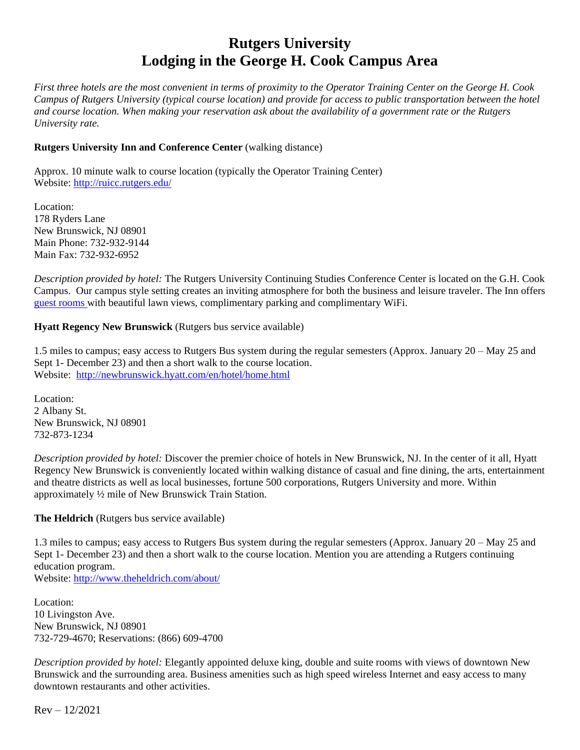# **Rutgers University Lodging in the George H. Cook Campus Area**

*First three hotels are the most convenient in terms of proximity to the Operator Training Center on the George H. Cook Campus of Rutgers University (typical course location) and provide for access to public transportation between the hotel and course location. When making your reservation ask about the availability of a government rate or the Rutgers University rate.*

# **Rutgers University Inn and Conference Center** (walking distance)

Approx. 10 minute walk to course location (typically the Operator Training Center) Website:<http://ruicc.rutgers.edu/>

Location: 178 Ryders Lane New Brunswick, NJ 08901 Main Phone: 732-932-9144 Main Fax: 732-932-6952

*Description provided by hotel:* The Rutgers University Continuing Studies Conference Center is located on the G.H. Cook Campus. Our campus style setting creates an inviting atmosphere for both the business and leisure traveler. The Inn offers [guest rooms w](http://ruicc.rutgers.edu/sleep)ith beautiful lawn views, complimentary parking and complimentary WiFi.

**Hyatt Regency New Brunswick** (Rutgers bus service available)

1.5 miles to campus; easy access to Rutgers Bus system during the regular semesters (Approx. January 20 – May 25 and Sept 1- December 23) and then a short walk to the course location. Website: <http://newbrunswick.hyatt.com/en/hotel/home.html>

Location: 2 Albany St. New Brunswick, NJ 08901 732-873-1234

*Description provided by hotel:* Discover the premier choice of hotels in New Brunswick, NJ. In the center of it all, Hyatt Regency New Brunswick is conveniently located within walking distance of casual and fine dining, the arts, entertainment and theatre districts as well as local businesses, fortune 500 corporations, Rutgers University and more. Within approximately ½ mile of New Brunswick Train Station.

**The Heldrich** (Rutgers bus service available)

1.3 miles to campus; easy access to Rutgers Bus system during the regular semesters (Approx. January 20 – May 25 and Sept 1- December 23) and then a short walk to the course location. Mention you are attending a Rutgers continuing education program.

Website:<http://www.theheldrich.com/about/>

Location: 10 Livingston Ave. New Brunswick, NJ 08901 732-729-4670; Reservations: (866) 609-4700

*Description provided by hotel:* Elegantly appointed deluxe king, double and suite rooms with views of downtown New Brunswick and the surrounding area. Business amenities such as high speed wireless Internet and easy access to many downtown restaurants and other activities.

 $Rev - 12/2021$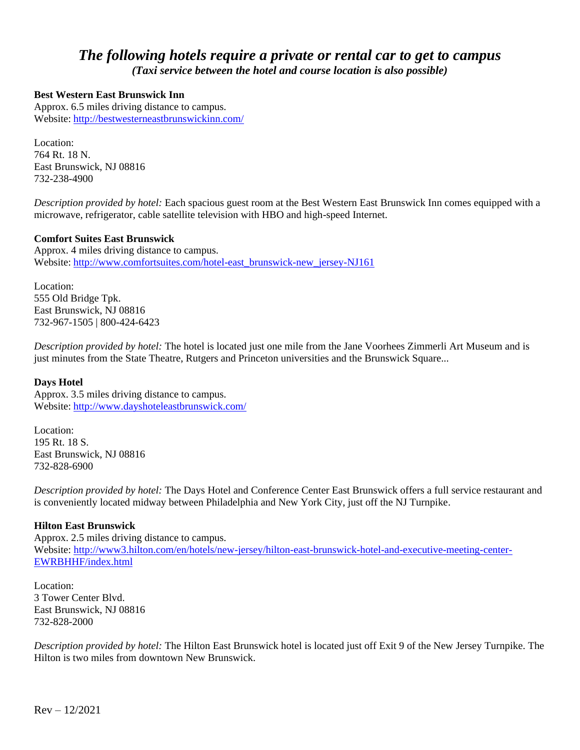# *The following hotels require a private or rental car to get to campus (Taxi service between the hotel and course location is also possible)*

# **Best Western East Brunswick Inn**

Approx. 6.5 miles driving distance to campus. Website: <http://bestwesterneastbrunswickinn.com/>

Location: 764 Rt. 18 N. East Brunswick, NJ 08816 732-238-4900

*Description provided by hotel:* Each spacious guest room at the Best Western East Brunswick Inn comes equipped with a microwave, refrigerator, cable satellite television with HBO and high-speed Internet.

#### **Comfort Suites East Brunswick**

Approx. 4 miles driving distance to campus. Website: [http://www.comfortsuites.com/hotel-east\\_brunswick-new\\_jersey-NJ161](http://www.comfortsuites.com/hotel-east_brunswick-new_jersey-NJ161)

Location: 555 Old Bridge Tpk. East Brunswick, NJ 08816 732-967-1505 | 800-424-6423

*Description provided by hotel:* The hotel is located just one mile from the Jane Voorhees Zimmerli Art Museum and is just minutes from the State Theatre, Rutgers and Princeton universities and the Brunswick Square...

#### **Days Hotel**

Approx. 3.5 miles driving distance to campus. Website: <http://www.dayshoteleastbrunswick.com/>

Location: 195 Rt. 18 S. East Brunswick, NJ 08816 732-828-6900

*Description provided by hotel:* The Days Hotel and Conference Center East Brunswick offers a full service restaurant and is conveniently located midway between Philadelphia and New York City, just off the NJ Turnpike.

# **Hilton East Brunswick**

Approx. 2.5 miles driving distance to campus. Website: [http://www3.hilton.com/en/hotels/new-jersey/hilton-east-brunswick-hotel-and-executive-meeting-center-](http://www3.hilton.com/en/hotels/new-jersey/hilton-east-brunswick-hotel-and-executive-meeting-center-EWRBHHF/index.html)[EWRBHHF/index.html](http://www3.hilton.com/en/hotels/new-jersey/hilton-east-brunswick-hotel-and-executive-meeting-center-EWRBHHF/index.html)

Location: 3 Tower Center Blvd. East Brunswick, NJ 08816 732-828-2000

*Description provided by hotel:* The Hilton East Brunswick hotel is located just off Exit 9 of the New Jersey Turnpike. The Hilton is two miles from downtown New Brunswick.